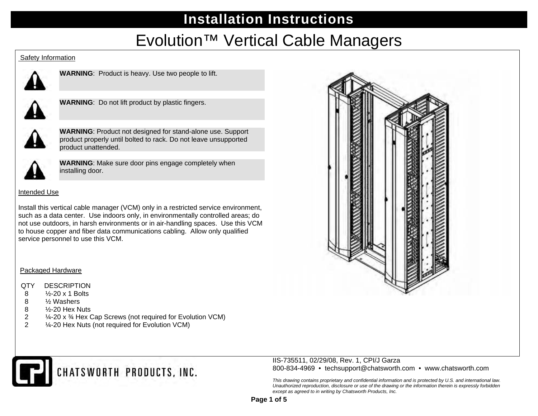# Evolution™ Vertical Cable Managers

#### Safety Information



**WARNING**: Product is heavy. Use two people to lift.



**WARNING**: Do not lift product by plastic fingers.



**WARNING**: Product not designed for stand-alone use. Support product properly until bolted to rack. Do not leave unsupported product unattended.



**WARNING**: Make sure door pins engage completely when installing door.

### Intended Use

Install this vertical cable manager (VCM) only in a restricted service environment, such as a data center. Use indoors only, in environmentally controlled areas; do not use outdoors, in harsh environments or in air-handling spaces. Use this VCM to house copper and fiber data communications cabling. Allow only qualified service personnel to use this VCM.

### Packaged Hardware

### QTY DESCRIPTION

- 8 ½-20 x 1 Bolts
- 8 ½ Washers
- 8 ½-20 Hex Nuts
- 2 ¼-20 x ¾ Hex Cap Screws (not required for Evolution VCM)
- 2 ¼-20 Hex Nuts (not required for Evolution VCM)





#### IIS-735511, 02/29/08, Rev. 1, CPI/J Garza 800-834-4969 • techsupport@chatsworth.com • www.chatsworth.com

*This drawing contains proprietary and confidential information and is protected by U.S. and international law. Unauthorized reproduction, disclosure or use of the drawing or the information therein is expressly forbidden except as agreed to in writing by Chatsworth Products, Inc.*

**Page 1 of 5**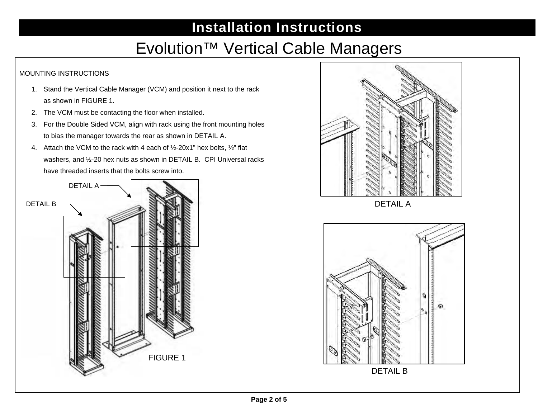## Evolution™ Vertical Cable Managers

### MOUNTING INSTRUCTIONS

- 1. Stand the Vertical Cable Manager (VCM) and position it next to the rack as shown in FIGURE 1.
- 2. The VCM must be contacting the floor when installed.
- 3. For the Double Sided VCM, align with rack using the front mounting holes to bias the manager towards the rear as shown in DETAIL A.
- 4. Attach the VCM to the rack with 4 each of ½-20x1" hex bolts, ½" flat washers, and ½-20 hex nuts as shown in DETAIL B. CPI Universal racks have threaded inserts that the bolts screw into.





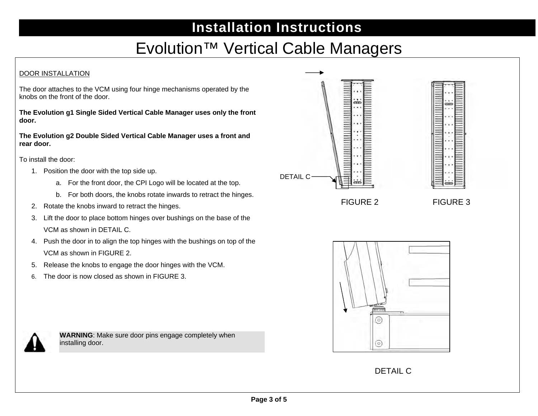## Evolution™ Vertical Cable Managers

### DOOR INSTALLATION

The door attaches to the VCM using four hinge mechanisms operated by the knobs on the front of the door.

**The Evolution g1 Single Sided Vertical Cable Manager uses only the front door.** 

**The Evolution g2 Double Sided Vertical Cable Manager uses a front and rear door.** 

To install the door:

- 1. Position the door with the top side up.
	- a. For the front door, the CPI Logo will be located at the top.
	- b. For both doors, the knobs rotate inwards to retract the hinges.
- 2. Rotate the knobs inward to retract the hinges.
- 3. Lift the door to place bottom hinges over bushings on the base of the VCM as shown in DETAIL C.
- 4. Push the door in to align the top hinges with the bushings on top of the VCM as shown in FIGURE 2.
- 5. Release the knobs to engage the door hinges with the VCM.
- 6. The door is now closed as shown in FIGURE 3.



**WARNING**: Make sure door pins engage completely when installing door.





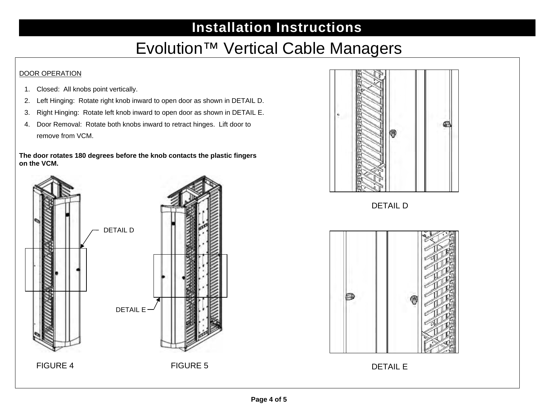## Evolution™ Vertical Cable Managers

### DOOR OPERATION

- 1. Closed: All knobs point vertically.
- 2. Left Hinging: Rotate right knob inward to open door as shown in DETAIL D.
- 3. Right Hinging: Rotate left knob inward to open door as shown in DETAIL E.
- 4. Door Removal: Rotate both knobs inward to retract hinges. Lift door to remove from VCM.

**The door rotates 180 degrees before the knob contacts the plastic fingers on the VCM.**